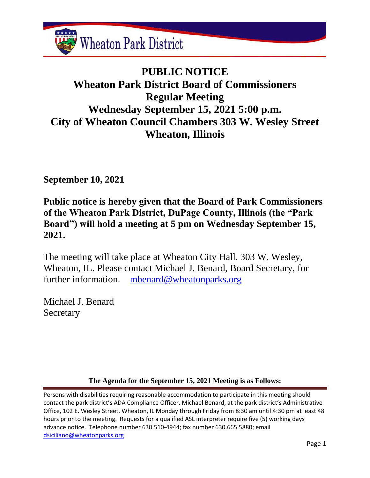

# **PUBLIC NOTICE Wheaton Park District Board of Commissioners Regular Meeting Wednesday September 15, 2021 5:00 p.m. City of Wheaton Council Chambers 303 W. Wesley Street Wheaton, Illinois**

**September 10, 2021**

**Public notice is hereby given that the Board of Park Commissioners of the Wheaton Park District, DuPage County, Illinois (the "Park Board") will hold a meeting at 5 pm on Wednesday September 15, 2021.**

The meeting will take place at Wheaton City Hall, 303 W. Wesley, Wheaton, IL. Please contact Michael J. Benard, Board Secretary, for further information. [mbenard@wheatonparks.org](mailto:mbenard@wheatonparks.org)

Michael J. Benard Secretary

**The Agenda for the September 15, 2021 Meeting is as Follows:**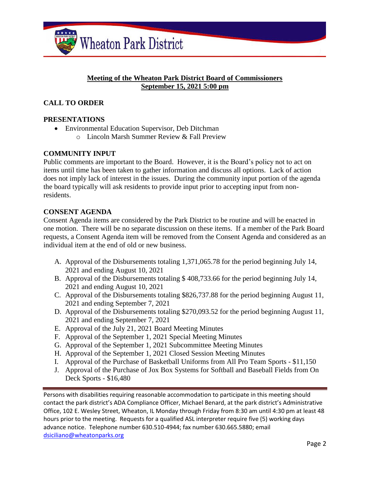

## **Meeting of the Wheaton Park District Board of Commissioners September 15, 2021 5:00 pm**

# **CALL TO ORDER**

# **PRESENTATIONS**

• Environmental Education Supervisor, Deb Ditchman o Lincoln Marsh Summer Review & Fall Preview

# **COMMUNITY INPUT**

Public comments are important to the Board. However, it is the Board's policy not to act on items until time has been taken to gather information and discuss all options. Lack of action does not imply lack of interest in the issues. During the community input portion of the agenda the board typically will ask residents to provide input prior to accepting input from nonresidents.

#### **CONSENT AGENDA**

Consent Agenda items are considered by the Park District to be routine and will be enacted in one motion. There will be no separate discussion on these items. If a member of the Park Board requests, a Consent Agenda item will be removed from the Consent Agenda and considered as an individual item at the end of old or new business.

- A. Approval of the Disbursements totaling 1,371,065.78 for the period beginning July 14, 2021 and ending August 10, 2021
- B. Approval of the Disbursements totaling \$ 408,733.66 for the period beginning July 14, 2021 and ending August 10, 2021
- C. Approval of the Disbursements totaling \$826,737.88 for the period beginning August 11, 2021 and ending September 7, 2021
- D. Approval of the Disbursements totaling \$270,093.52 for the period beginning August 11, 2021 and ending September 7, 2021
- E. Approval of the July 21, 2021 Board Meeting Minutes
- F. Approval of the September 1, 2021 Special Meeting Minutes
- G. Approval of the September 1, 2021 Subcommittee Meeting Minutes
- H. Approval of the September 1, 2021 Closed Session Meeting Minutes
- I. Approval of the Purchase of Basketball Uniforms from All Pro Team Sports \$11,150
- J. Approval of the Purchase of Jox Box Systems for Softball and Baseball Fields from On Deck Sports - \$16,480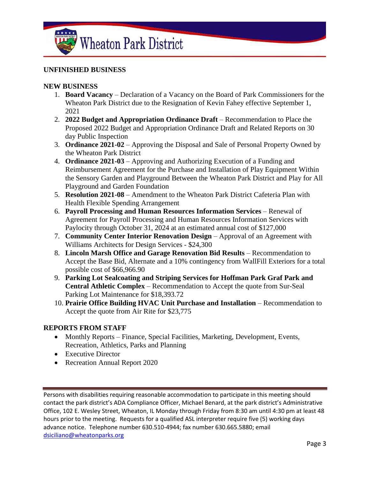

## **UNFINISHED BUSINESS**

#### **NEW BUSINESS**

- 1. **Board Vacancy** Declaration of a Vacancy on the Board of Park Commissioners for the Wheaton Park District due to the Resignation of Kevin Fahey effective September 1, 2021
- 2. **2022 Budget and Appropriation Ordinance Draft** Recommendation to Place the Proposed 2022 Budget and Appropriation Ordinance Draft and Related Reports on 30 day Public Inspection
- 3. **Ordinance 2021-02** Approving the Disposal and Sale of Personal Property Owned by the Wheaton Park District
- 4. **Ordinance 2021-03** Approving and Authorizing Execution of a Funding and Reimbursement Agreement for the Purchase and Installation of Play Equipment Within the Sensory Garden and Playground Between the Wheaton Park District and Play for All Playground and Garden Foundation
- 5. **Resolution 2021-08** Amendment to the Wheaton Park District Cafeteria Plan with Health Flexible Spending Arrangement
- 6. **Payroll Processing and Human Resources Information Services** Renewal of Agreement for Payroll Processing and Human Resources Information Services with Paylocity through October 31, 2024 at an estimated annual cost of \$127,000
- 7. **Community Center Interior Renovation Design** Approval of an Agreement with Williams Architects for Design Services - \$24,300
- 8. **Lincoln Marsh Office and Garage Renovation Bid Results** Recommendation to Accept the Base Bid, Alternate and a 10% contingency from WallFill Exteriors for a total possible cost of \$66,966.90
- 9. **Parking Lot Sealcoating and Striping Services for Hoffman Park Graf Park and Central Athletic Complex** – Recommendation to Accept the quote from Sur-Seal Parking Lot Maintenance for \$18,393.72
- 10. **Prairie Office Building HVAC Unit Purchase and Installation** Recommendation to Accept the quote from Air Rite for \$23,775

#### **REPORTS FROM STAFF**

- Monthly Reports Finance, Special Facilities, Marketing, Development, Events, Recreation, Athletics, Parks and Planning
- Executive Director
- Recreation Annual Report 2020